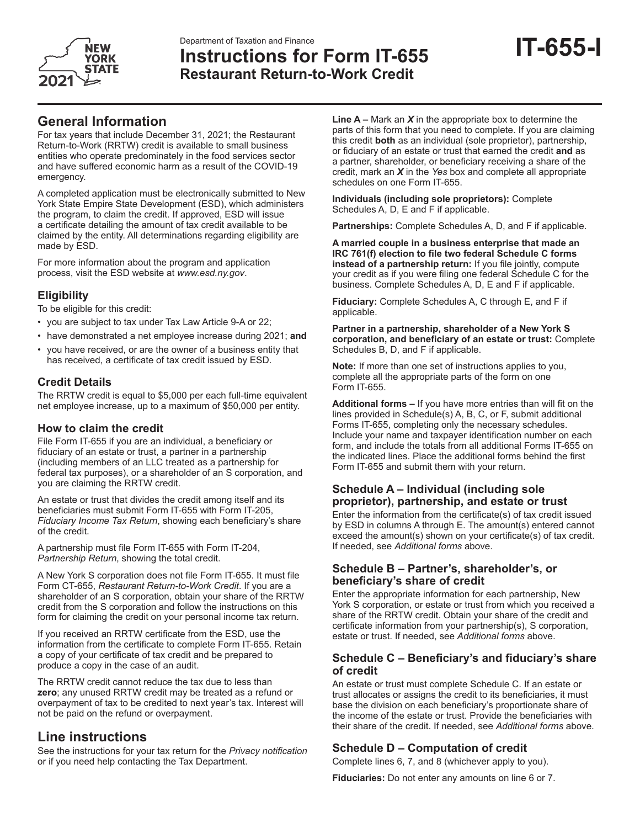

# **IT-655-I** Department of Taxation and Finance **Instructions for Form IT-655 Restaurant Return-to-Work Credit**

# **General Information**

For tax years that include December 31, 2021; the Restaurant Return-to-Work (RRTW) credit is available to small business entities who operate predominately in the food services sector and have suffered economic harm as a result of the COVID-19 emergency.

A completed application must be electronically submitted to New York State Empire State Development (ESD), which administers the program, to claim the credit. If approved, ESD will issue a certificate detailing the amount of tax credit available to be claimed by the entity. All determinations regarding eligibility are made by ESD.

For more information about the program and application process, visit the ESD website at *www.esd.ny.gov*.

## **Eligibility**

To be eligible for this credit:

- you are subject to tax under Tax Law Article 9-A or 22;
- have demonstrated a net employee increase during 2021; **and**
- you have received, or are the owner of a business entity that has received, a certificate of tax credit issued by ESD.

## **Credit Details**

The RRTW credit is equal to \$5,000 per each full-time equivalent net employee increase, up to a maximum of \$50,000 per entity.

#### **How to claim the credit**

File Form IT-655 if you are an individual, a beneficiary or fiduciary of an estate or trust, a partner in a partnership (including members of an LLC treated as a partnership for federal tax purposes), or a shareholder of an S corporation, and you are claiming the RRTW credit.

An estate or trust that divides the credit among itself and its beneficiaries must submit Form IT-655 with Form IT-205, *Fiduciary Income Tax Return*, showing each beneficiary's share of the credit.

A partnership must file Form IT-655 with Form IT-204, *Partnership Return*, showing the total credit.

A New York S corporation does not file Form IT-655. It must file Form CT-655, *Restaurant Return-to-Work Credit*. If you are a shareholder of an S corporation, obtain your share of the RRTW credit from the S corporation and follow the instructions on this form for claiming the credit on your personal income tax return.

If you received an RRTW certificate from the ESD, use the information from the certificate to complete Form IT-655. Retain a copy of your certificate of tax credit and be prepared to produce a copy in the case of an audit.

The RRTW credit cannot reduce the tax due to less than **zero**; any unused RRTW credit may be treated as a refund or overpayment of tax to be credited to next year's tax. Interest will not be paid on the refund or overpayment.

## **Line instructions**

See the instructions for your tax return for the *Privacy notification*  or if you need help contacting the Tax Department.

**Line A –** Mark an *X* in the appropriate box to determine the parts of this form that you need to complete. If you are claiming this credit **both** as an individual (sole proprietor), partnership, or fiduciary of an estate or trust that earned the credit **and** as a partner, shareholder, or beneficiary receiving a share of the credit, mark an *X* in the *Yes* box and complete all appropriate schedules on one Form IT-655.

**Individuals (including sole proprietors):** Complete Schedules A, D, E and F if applicable.

**Partnerships:** Complete Schedules A, D, and F if applicable.

**A married couple in a business enterprise that made an IRC 761(f) election to file two federal Schedule C forms instead of a partnership return:** If you file jointly, compute your credit as if you were filing one federal Schedule C for the business. Complete Schedules A, D, E and F if applicable.

**Fiduciary:** Complete Schedules A, C through E, and F if applicable.

**Partner in a partnership, shareholder of a New York S corporation, and beneficiary of an estate or trust:** Complete Schedules B, D, and F if applicable.

**Note:** If more than one set of instructions applies to you, complete all the appropriate parts of the form on one Form IT-655.

**Additional forms –** If you have more entries than will fit on the lines provided in Schedule(s) A, B, C, or F, submit additional Forms IT-655, completing only the necessary schedules. Include your name and taxpayer identification number on each form, and include the totals from all additional Forms IT-655 on the indicated lines. Place the additional forms behind the first Form IT-655 and submit them with your return.

### **Schedule A – Individual (including sole proprietor), partnership, and estate or trust**

Enter the information from the certificate(s) of tax credit issued by ESD in columns A through E. The amount(s) entered cannot exceed the amount(s) shown on your certificate(s) of tax credit. If needed, see *Additional forms* above.

#### **Schedule B – Partner's, shareholder's, or beneficiary's share of credit**

Enter the appropriate information for each partnership, New York S corporation, or estate or trust from which you received a share of the RRTW credit. Obtain your share of the credit and certificate information from your partnership(s), S corporation, estate or trust. If needed, see *Additional forms* above.

#### **Schedule C – Beneficiary's and fiduciary's share of credit**

An estate or trust must complete Schedule C. If an estate or trust allocates or assigns the credit to its beneficiaries, it must base the division on each beneficiary's proportionate share of the income of the estate or trust. Provide the beneficiaries with their share of the credit. If needed, see *Additional forms* above.

## **Schedule D – Computation of credit**

Complete lines 6, 7, and 8 (whichever apply to you).

**Fiduciaries:** Do not enter any amounts on line 6 or 7.